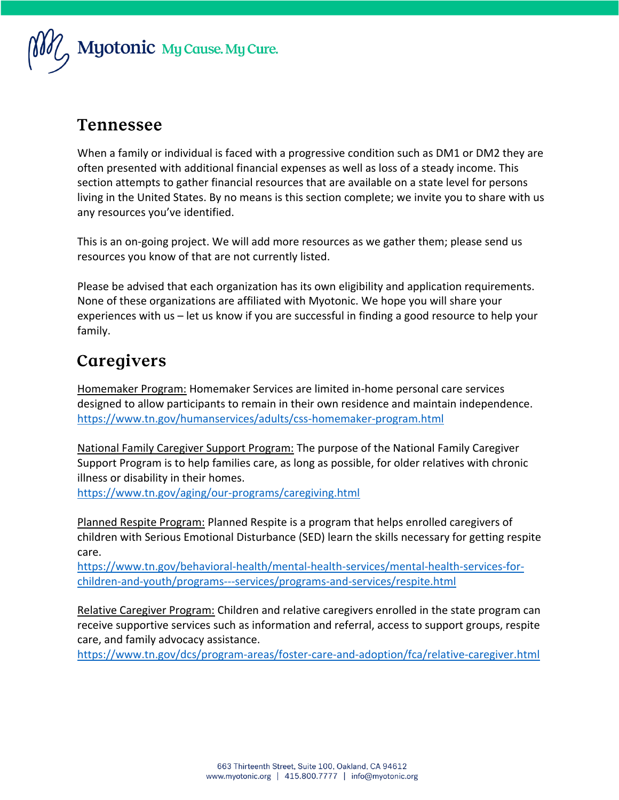

#### **Tennessee**

When a family or individual is faced with a progressive condition such as DM1 or DM2 they are often presented with additional financial expenses as well as loss of a steady income. This section attempts to gather financial resources that are available on a state level for persons living in the United States. By no means is this section complete; we invite you to share with us any resources you've identified.

This is an on-going project. We will add more resources as we gather them; please send us resources you know of that are not currently listed.

Please be advised that each organization has its own eligibility and application requirements. None of these organizations are affiliated with Myotonic. We hope you will share your experiences with us – let us know if you are successful in finding a good resource to help your family.

# Caregivers

Homemaker Program: Homemaker Services are limited in-home personal care services designed to allow participants to remain in their own residence and maintain independence. <https://www.tn.gov/humanservices/adults/css-homemaker-program.html>

National Family Caregiver Support Program: The purpose of the National Family Caregiver Support Program is to help families care, as long as possible, for older relatives with chronic illness or disability in their homes.

<https://www.tn.gov/aging/our-programs/caregiving.html>

Planned Respite Program: Planned Respite is a program that helps enrolled caregivers of children with Serious Emotional Disturbance (SED) learn the skills necessary for getting respite care.

[https://www.tn.gov/behavioral-health/mental-health-services/mental-health-services-for](https://www.tn.gov/behavioral-health/mental-health-services/mental-health-services-for-children-and-youth/programs---services/programs-and-services/respite.html)[children-and-youth/programs---services/programs-and-services/respite.html](https://www.tn.gov/behavioral-health/mental-health-services/mental-health-services-for-children-and-youth/programs---services/programs-and-services/respite.html)

Relative Caregiver Program: Children and relative caregivers enrolled in the state program can receive supportive services such as information and referral, access to support groups, respite care, and family advocacy assistance.

<https://www.tn.gov/dcs/program-areas/foster-care-and-adoption/fca/relative-caregiver.html>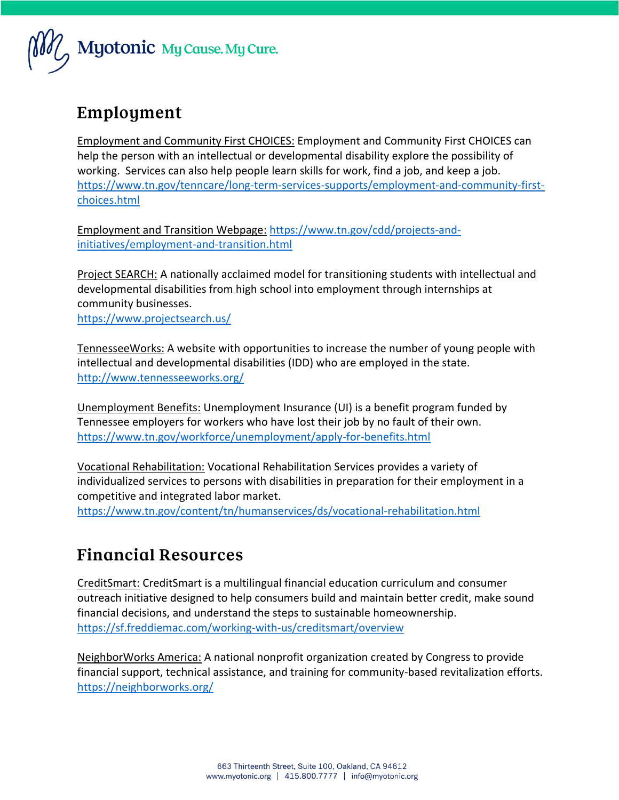

### Employment

Employment and Community First CHOICES: Employment and Community First CHOICES can help the person with an intellectual or developmental disability explore the possibility of working. Services can also help people learn skills for work, find a job, and keep a job. [https://www.tn.gov/tenncare/long-term-services-supports/employment-and-community-first](https://www.tn.gov/tenncare/long-term-services-supports/employment-and-community-first-choices.html)[choices.html](https://www.tn.gov/tenncare/long-term-services-supports/employment-and-community-first-choices.html)

Employment and Transition Webpage: [https://www.tn.gov/cdd/projects-and](https://www.tn.gov/cdd/projects-and-initiatives/employment-and-transition.html)[initiatives/employment-and-transition.html](https://www.tn.gov/cdd/projects-and-initiatives/employment-and-transition.html)

Project SEARCH: A nationally acclaimed model for transitioning students with intellectual and developmental disabilities from high school into employment through internships at community businesses.

<https://www.projectsearch.us/>

TennesseeWorks: A website with opportunities to increase the number of young people with intellectual and developmental disabilities (IDD) who are employed in the state. <http://www.tennesseeworks.org/>

Unemployment Benefits: Unemployment Insurance (UI) is a benefit program funded by Tennessee employers for workers who have lost their job by no fault of their own. <https://www.tn.gov/workforce/unemployment/apply-for-benefits.html>

Vocational Rehabilitation: Vocational Rehabilitation Services provides a variety of individualized services to persons with disabilities in preparation for their employment in a competitive and integrated labor market.

<https://www.tn.gov/content/tn/humanservices/ds/vocational-rehabilitation.html>

#### **Financial Resources**

CreditSmart: CreditSmart is a multilingual financial education curriculum and consumer outreach initiative designed to help consumers build and maintain better credit, make sound financial decisions, and understand the steps to sustainable homeownership. <https://sf.freddiemac.com/working-with-us/creditsmart/overview>

NeighborWorks America: A national nonprofit organization created by Congress to provide financial support, technical assistance, and training for community-based revitalization efforts. <https://neighborworks.org/>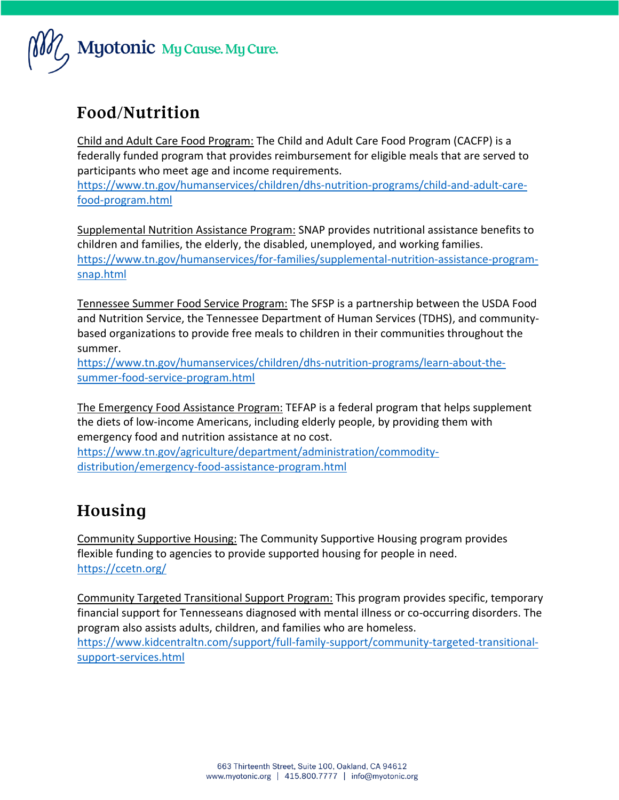

## Food/Nutrition

Child and Adult Care Food Program: The Child and Adult Care Food Program (CACFP) is a federally funded program that provides reimbursement for eligible meals that are served to participants who meet age and income requirements.

[https://www.tn.gov/humanservices/children/dhs-nutrition-programs/child-and-adult-care](https://www.tn.gov/humanservices/children/dhs-nutrition-programs/child-and-adult-care-food-program.html)[food-program.html](https://www.tn.gov/humanservices/children/dhs-nutrition-programs/child-and-adult-care-food-program.html)

Supplemental Nutrition Assistance Program: SNAP provides nutritional assistance benefits to children and families, the elderly, the disabled, unemployed, and working families. [https://www.tn.gov/humanservices/for-families/supplemental-nutrition-assistance-program](https://www.tn.gov/humanservices/for-families/supplemental-nutrition-assistance-program-snap.html)[snap.html](https://www.tn.gov/humanservices/for-families/supplemental-nutrition-assistance-program-snap.html)

Tennessee Summer Food Service Program: The SFSP is a partnership between the USDA Food and Nutrition Service, the Tennessee Department of Human Services (TDHS), and communitybased organizations to provide free meals to children in their communities throughout the summer.

[https://www.tn.gov/humanservices/children/dhs-nutrition-programs/learn-about-the](https://www.tn.gov/humanservices/children/dhs-nutrition-programs/learn-about-the-summer-food-service-program.html)[summer-food-service-program.html](https://www.tn.gov/humanservices/children/dhs-nutrition-programs/learn-about-the-summer-food-service-program.html)

The Emergency Food Assistance Program: TEFAP is a federal program that helps supplement the diets of low-income Americans, including elderly people, by providing them with emergency food and nutrition assistance at no cost.

[https://www.tn.gov/agriculture/department/administration/commodity](https://www.tn.gov/agriculture/department/administration/commodity-distribution/emergency-food-assistance-program.html)[distribution/emergency-food-assistance-program.html](https://www.tn.gov/agriculture/department/administration/commodity-distribution/emergency-food-assistance-program.html)

## Housing

Community Supportive Housing: The Community Supportive Housing program provides flexible funding to agencies to provide supported housing for people in need. <https://ccetn.org/>

Community Targeted Transitional Support Program: This program provides specific, temporary financial support for Tennesseans diagnosed with mental illness or co-occurring disorders. The program also assists adults, children, and families who are homeless. [https://www.kidcentraltn.com/support/full-family-support/community-targeted-transitional](https://www.kidcentraltn.com/support/full-family-support/community-targeted-transitional-support-services.html)[support-services.html](https://www.kidcentraltn.com/support/full-family-support/community-targeted-transitional-support-services.html)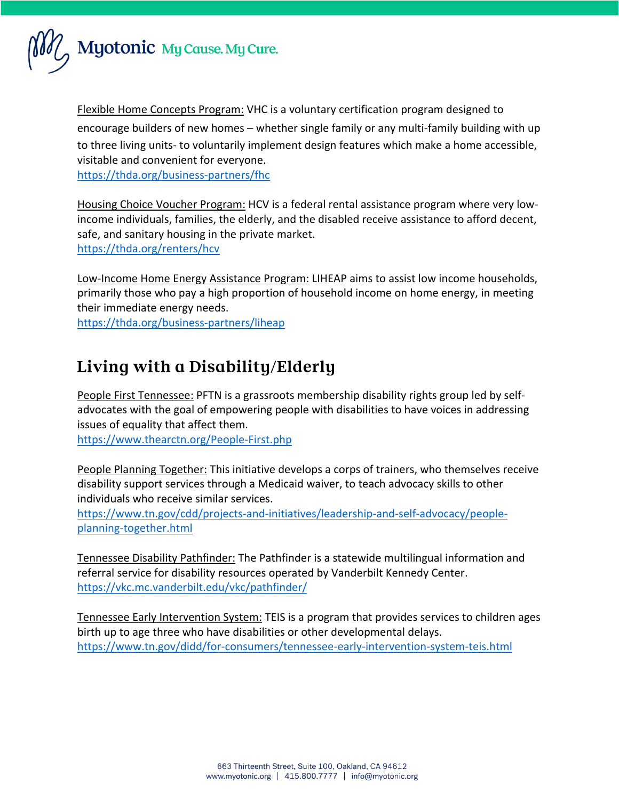

Flexible Home Concepts Program: VHC is a voluntary certification program designed to encourage builders of new homes – whether single family or any multi-family building with up to three living units- to voluntarily implement design features which make a home accessible, visitable and convenient for everyone.

<https://thda.org/business-partners/fhc>

Housing Choice Voucher Program: HCV is a federal rental assistance program where very lowincome individuals, families, the elderly, and the disabled receive assistance to afford decent, safe, and sanitary housing in the private market. <https://thda.org/renters/hcv>

Low-Income Home Energy Assistance Program: LIHEAP aims to assist low income households, primarily those who pay a high proportion of household income on home energy, in meeting their immediate energy needs.

<https://thda.org/business-partners/liheap>

# Living with a Disability/Elderly

People First Tennessee: PFTN is a grassroots membership disability rights group led by selfadvocates with the goal of empowering people with disabilities to have voices in addressing issues of equality that affect them.

<https://www.thearctn.org/People-First.php>

People Planning Together: This initiative develops a corps of trainers, who themselves receive disability support services through a Medicaid waiver, to teach advocacy skills to other individuals who receive similar services.

[https://www.tn.gov/cdd/projects-and-initiatives/leadership-and-self-advocacy/people](https://www.tn.gov/cdd/projects-and-initiatives/leadership-and-self-advocacy/people-planning-together.html)[planning-together.html](https://www.tn.gov/cdd/projects-and-initiatives/leadership-and-self-advocacy/people-planning-together.html)

Tennessee Disability Pathfinder: The Pathfinder is a statewide multilingual information and referral service for disability resources operated by Vanderbilt Kennedy Center. <https://vkc.mc.vanderbilt.edu/vkc/pathfinder/>

Tennessee Early Intervention System: TEIS is a program that provides services to children ages birth up to age three who have disabilities or other developmental delays. <https://www.tn.gov/didd/for-consumers/tennessee-early-intervention-system-teis.html>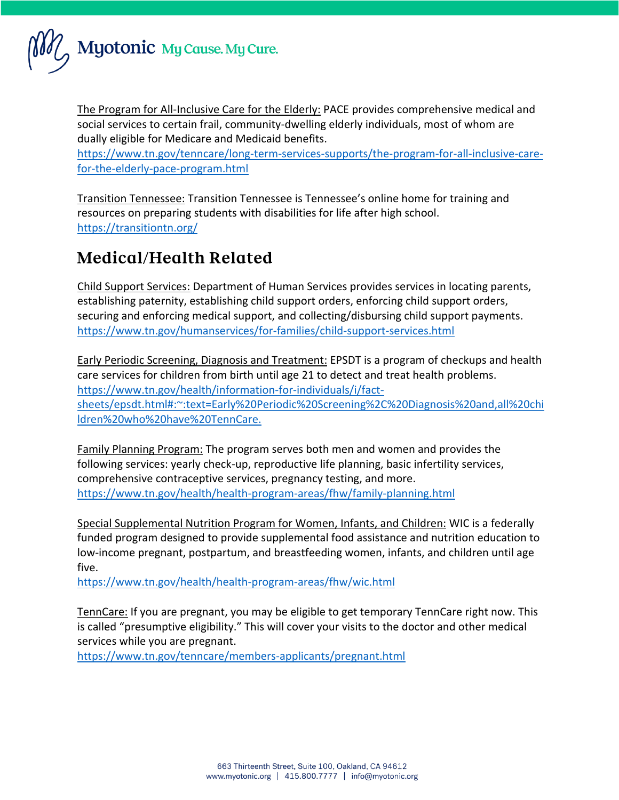

The Program for All-Inclusive Care for the Elderly: PACE provides comprehensive medical and social services to certain frail, community-dwelling elderly individuals, most of whom are dually eligible for Medicare and Medicaid benefits.

[https://www.tn.gov/tenncare/long-term-services-supports/the-program-for-all-inclusive-care](https://www.tn.gov/tenncare/long-term-services-supports/the-program-for-all-inclusive-care-for-the-elderly-pace-program.html)[for-the-elderly-pace-program.html](https://www.tn.gov/tenncare/long-term-services-supports/the-program-for-all-inclusive-care-for-the-elderly-pace-program.html)

Transition Tennessee: Transition Tennessee is Tennessee's online home for training and resources on preparing students with disabilities for life after high school. <https://transitiontn.org/>

### **Medical/Health Related**

Child Support Services: Department of Human Services provides services in locating parents, establishing paternity, establishing child support orders, enforcing child support orders, securing and enforcing medical support, and collecting/disbursing child support payments. <https://www.tn.gov/humanservices/for-families/child-support-services.html>

Early Periodic Screening, Diagnosis and Treatment: EPSDT is a program of checkups and health care services for children from birth until age 21 to detect and treat health problems. [https://www.tn.gov/health/information-for-individuals/i/fact](https://www.tn.gov/health/information-for-individuals/i/fact-sheets/epsdt.html#:~:text=Early%20Periodic%20Screening%2C%20Diagnosis%20and,all%20children%20who%20have%20TennCare.)[sheets/epsdt.html#:~:text=Early%20Periodic%20Screening%2C%20Diagnosis%20and,all%20chi](https://www.tn.gov/health/information-for-individuals/i/fact-sheets/epsdt.html#:~:text=Early%20Periodic%20Screening%2C%20Diagnosis%20and,all%20children%20who%20have%20TennCare.) [ldren%20who%20have%20TennCare.](https://www.tn.gov/health/information-for-individuals/i/fact-sheets/epsdt.html#:~:text=Early%20Periodic%20Screening%2C%20Diagnosis%20and,all%20children%20who%20have%20TennCare.)

Family Planning Program: The program serves both men and women and provides the following services: yearly check-up, reproductive life planning, basic infertility services, comprehensive contraceptive services, pregnancy testing, and more. <https://www.tn.gov/health/health-program-areas/fhw/family-planning.html>

Special Supplemental Nutrition Program for Women, Infants, and Children: WIC is a federally funded program designed to provide supplemental food assistance and nutrition education to low-income pregnant, postpartum, and breastfeeding women, infants, and children until age five.

<https://www.tn.gov/health/health-program-areas/fhw/wic.html>

TennCare: If you are pregnant, you may be eligible to get temporary TennCare right now. This is called "presumptive eligibility." This will cover your visits to the doctor and other medical services while you are pregnant.

<https://www.tn.gov/tenncare/members-applicants/pregnant.html>